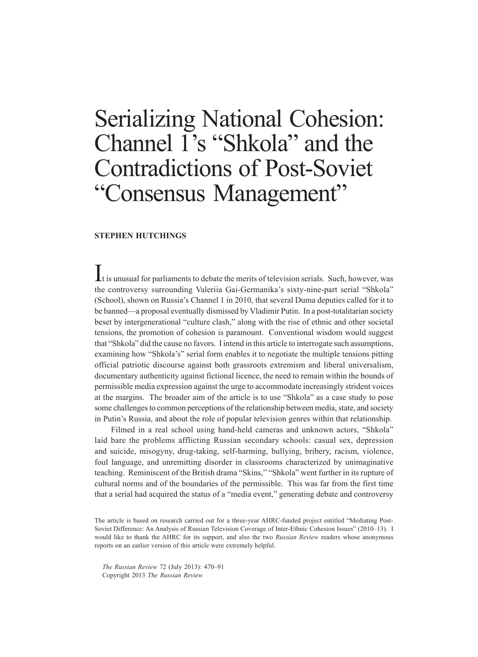# Serializing National Cohesion: Channel 1's "Shkola" and the Contradictions of Post-Soviet "Consensus Management"

### **STEPHEN HUTCHINGS**

 $\mathbf{I}_{\text{t}}$  is unusual for parliaments to debate the merits of television serials. Such, however, was the controversy surrounding Valeriia Gai-Germanika's sixty-nine-part serial "Shkola" (School), shown on Russia's Channel 1 in 2010, that several Duma deputies called for it to be banned—a proposal eventually dismissed by Vladimir Putin. In a post-totalitarian society beset by intergenerational "culture clash," along with the rise of ethnic and other societal tensions, the promotion of cohesion is paramount. Conventional wisdom would suggest that "Shkola" did the cause no favors. I intend in this article to interrogate such assumptions, examining how "Shkola's" serial form enables it to negotiate the multiple tensions pitting official patriotic discourse against both grassroots extremism and liberal universalism, documentary authenticity against fictional licence, the need to remain within the bounds of permissible media expression against the urge to accommodate increasingly strident voices at the margins. The broader aim of the article is to use "Shkola" as a case study to pose some challenges to common perceptions of the relationship between media, state, and society in Putin's Russia, and about the role of popular television genres within that relationship.

Filmed in a real school using hand-held cameras and unknown actors, "Shkola" laid bare the problems afflicting Russian secondary schools: casual sex, depression and suicide, misogyny, drug-taking, self-harming, bullying, bribery, racism, violence, foul language, and unremitting disorder in classrooms characterized by unimaginative teaching. Reminiscent of the British drama "Skins," "Shkola" went further in its rupture of cultural norms and of the boundaries of the permissible. This was far from the first time that a serial had acquired the status of a "media event," generating debate and controversy

The article is based on research carried out for a three-year AHRC-funded project entitled "Mediating Post-Soviet Difference: An Analysis of Russian Television Coverage of Inter-Ethnic Cohesion Issues" (2010–13). I would like to thank the AHRC for its support, and also the two *Russian Review* readers whose anonymous reports on an earlier version of this article were extremely helpful.

*The Russian Review* 72 (July 2013): 470–91 Copyright 2013 *The Russian Review*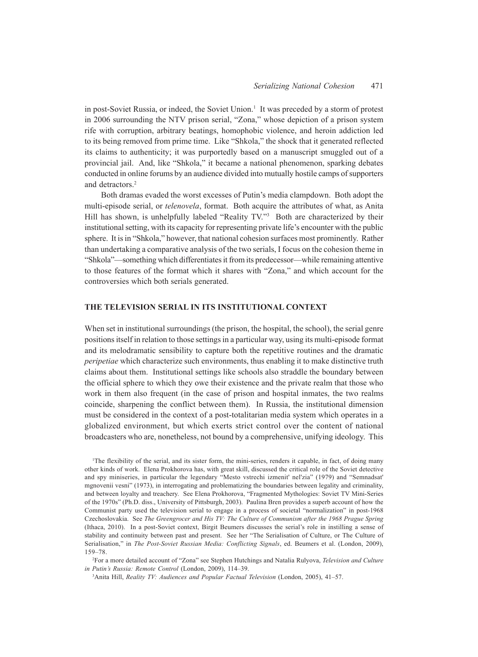in post-Soviet Russia, or indeed, the Soviet Union.<sup>1</sup> It was preceded by a storm of protest in 2006 surrounding the NTV prison serial, "Zona," whose depiction of a prison system rife with corruption, arbitrary beatings, homophobic violence, and heroin addiction led to its being removed from prime time. Like "Shkola," the shock that it generated reflected its claims to authenticity; it was purportedly based on a manuscript smuggled out of a provincial jail. And, like "Shkola," it became a national phenomenon, sparking debates conducted in online forums by an audience divided into mutually hostile camps of supporters and detractors<sup>2</sup>

Both dramas evaded the worst excesses of Putin's media clampdown. Both adopt the multi-episode serial, or *telenovela*, format. Both acquire the attributes of what, as Anita Hill has shown, is unhelpfully labeled "Reality TV."3 Both are characterized by their institutional setting, with its capacity for representing private life's encounter with the public sphere. It is in "Shkola," however, that national cohesion surfaces most prominently. Rather than undertaking a comparative analysis of the two serials, I focus on the cohesion theme in "Shkola"—something which differentiates it from its predecessor—while remaining attentive to those features of the format which it shares with "Zona," and which account for the controversies which both serials generated.

## **THE TELEVISION SERIAL IN ITS INSTITUTIONAL CONTEXT**

When set in institutional surroundings (the prison, the hospital, the school), the serial genre positions itself in relation to those settings in a particular way, using its multi-episode format and its melodramatic sensibility to capture both the repetitive routines and the dramatic *peripetiae* which characterize such environments, thus enabling it to make distinctive truth claims about them. Institutional settings like schools also straddle the boundary between the official sphere to which they owe their existence and the private realm that those who work in them also frequent (in the case of prison and hospital inmates, the two realms coincide, sharpening the conflict between them). In Russia, the institutional dimension must be considered in the context of a post-totalitarian media system which operates in a globalized environment, but which exerts strict control over the content of national broadcasters who are, nonetheless, not bound by a comprehensive, unifying ideology. This

1 The flexibility of the serial, and its sister form, the mini-series, renders it capable, in fact, of doing many other kinds of work. Elena Prokhorova has, with great skill, discussed the critical role of the Soviet detective and spy miniseries, in particular the legendary "Mesto vstrechi izmenit' nel'zia" (1979) and "Semnadsat' mgnovenii vesni" (1973), in interrogating and problematizing the boundaries between legality and criminality, and between loyalty and treachery. See Elena Prokhorova, "Fragmented Mythologies: Soviet TV Mini-Series of the 1970s" (Ph.D. diss., University of Pittsburgh, 2003). Paulina Bren provides a superb account of how the Communist party used the television serial to engage in a process of societal "normalization" in post-1968 Czechoslovakia. See *The Greengrocer and His TV: The Culture of Communism after the 1968 Prague Spring* (Ithaca, 2010). In a post-Soviet context, Birgit Beumers discusses the serial's role in instilling a sense of stability and continuity between past and present. See her "The Serialisation of Culture, or The Culture of Serialisation," in *The Post-Soviet Russian Media: Conflicting Signals*, ed. Beumers et al. (London, 2009), 159–78.

2 For a more detailed account of "Zona" see Stephen Hutchings and Natalia Rulyova, *Television and Culture in Putin's Russia: Remote Control* (London, 2009), 114–39.

3 Anita Hill, *Reality TV: Audiences and Popular Factual Television* (London, 2005), 41–57.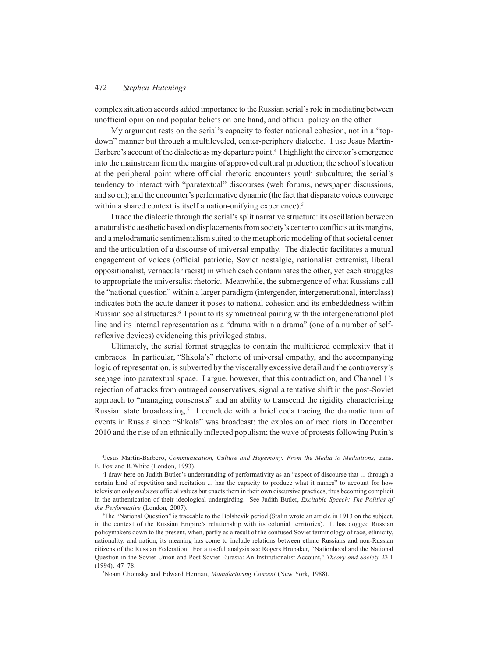complex situation accords added importance to the Russian serial's role in mediating between unofficial opinion and popular beliefs on one hand, and official policy on the other.

My argument rests on the serial's capacity to foster national cohesion, not in a "topdown" manner but through a multileveled, center-periphery dialectic. I use Jesus Martin-Barbero's account of the dialectic as my departure point.<sup>4</sup> I highlight the director's emergence into the mainstream from the margins of approved cultural production; the school's location at the peripheral point where official rhetoric encounters youth subculture; the serial's tendency to interact with "paratextual" discourses (web forums, newspaper discussions, and so on); and the encounter's performative dynamic (the fact that disparate voices converge within a shared context is itself a nation-unifying experience).<sup>5</sup>

I trace the dialectic through the serial's split narrative structure: its oscillation between a naturalistic aesthetic based on displacements from society's center to conflicts at its margins, and a melodramatic sentimentalism suited to the metaphoric modeling of that societal center and the articulation of a discourse of universal empathy. The dialectic facilitates a mutual engagement of voices (official patriotic, Soviet nostalgic, nationalist extremist, liberal oppositionalist, vernacular racist) in which each contaminates the other, yet each struggles to appropriate the universalist rhetoric. Meanwhile, the submergence of what Russians call the "national question" within a larger paradigm (intergender, intergenerational, interclass) indicates both the acute danger it poses to national cohesion and its embeddedness within Russian social structures.<sup>6</sup> I point to its symmetrical pairing with the intergenerational plot line and its internal representation as a "drama within a drama" (one of a number of selfreflexive devices) evidencing this privileged status.

Ultimately, the serial format struggles to contain the multitiered complexity that it embraces. In particular, "Shkola's" rhetoric of universal empathy, and the accompanying logic of representation, is subverted by the viscerally excessive detail and the controversy's seepage into paratextual space. I argue, however, that this contradiction, and Channel 1's rejection of attacks from outraged conservatives, signal a tentative shift in the post-Soviet approach to "managing consensus" and an ability to transcend the rigidity characterising Russian state broadcasting.7 I conclude with a brief coda tracing the dramatic turn of events in Russia since "Shkola" was broadcast: the explosion of race riots in December 2010 and the rise of an ethnically inflected populism; the wave of protests following Putin's

4 Jesus Martin-Barbero, *Communication, Culture and Hegemony: From the Media to Mediations*, trans. E. Fox and R.White (London, 1993).

5 I draw here on Judith Butler's understanding of performativity as an "aspect of discourse that ... through a certain kind of repetition and recitation ... has the capacity to produce what it names" to account for how television only *endorses* official values but enacts them in their own discursive practices, thus becoming complicit in the authentication of their ideological undergirding. See Judith Butler, *Excitable Speech: The Politics of the Performative* (London, 2007).

6 The "National Question" is traceable to the Bolshevik period (Stalin wrote an article in 1913 on the subject, in the context of the Russian Empire's relationship with its colonial territories). It has dogged Russian policymakers down to the present, when, partly as a result of the confused Soviet terminology of race, ethnicity, nationality, and nation, its meaning has come to include relations between ethnic Russians and non-Russian citizens of the Russian Federation. For a useful analysis see Rogers Brubaker, "Nationhood and the National Question in the Soviet Union and Post-Soviet Eurasia: An Institutionalist Account," *Theory and Society* 23:1 (1994): 47–78.

7 Noam Chomsky and Edward Herman, *Manufacturing Consent* (New York, 1988).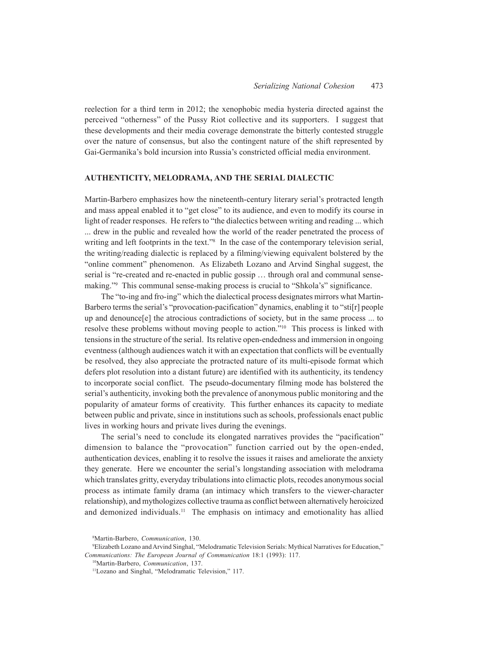reelection for a third term in 2012; the xenophobic media hysteria directed against the perceived "otherness" of the Pussy Riot collective and its supporters. I suggest that these developments and their media coverage demonstrate the bitterly contested struggle over the nature of consensus, but also the contingent nature of the shift represented by Gai-Germanika's bold incursion into Russia's constricted official media environment.

# **AUTHENTICITY, MELODRAMA, AND THE SERIAL DIALECTIC**

Martin-Barbero emphasizes how the nineteenth-century literary serial's protracted length and mass appeal enabled it to "get close" to its audience, and even to modify its course in light of reader responses. He refers to "the dialectics between writing and reading ... which ... drew in the public and revealed how the world of the reader penetrated the process of writing and left footprints in the text."<sup>8</sup> In the case of the contemporary television serial, the writing/reading dialectic is replaced by a filming/viewing equivalent bolstered by the "online comment" phenomenon. As Elizabeth Lozano and Arvind Singhal suggest, the serial is "re-created and re-enacted in public gossip … through oral and communal sensemaking."<sup>9</sup> This communal sense-making process is crucial to "Shkola's" significance.

The "to-ing and fro-ing" which the dialectical process designates mirrors what Martin-Barbero terms the serial's "provocation-pacification" dynamics, enabling it to "sti[r] people up and denounce $[e]$  the atrocious contradictions of society, but in the same process  $\ldots$  to resolve these problems without moving people to action."10 This process is linked with tensions in the structure of the serial. Its relative open-endedness and immersion in ongoing eventness (although audiences watch it with an expectation that conflicts will be eventually be resolved, they also appreciate the protracted nature of its multi-episode format which defers plot resolution into a distant future) are identified with its authenticity, its tendency to incorporate social conflict. The pseudo-documentary filming mode has bolstered the serial's authenticity, invoking both the prevalence of anonymous public monitoring and the popularity of amateur forms of creativity. This further enhances its capacity to mediate between public and private, since in institutions such as schools, professionals enact public lives in working hours and private lives during the evenings.

The serial's need to conclude its elongated narratives provides the "pacification" dimension to balance the "provocation" function carried out by the open-ended, authentication devices, enabling it to resolve the issues it raises and ameliorate the anxiety they generate. Here we encounter the serial's longstanding association with melodrama which translates gritty, everyday tribulations into climactic plots, recodes anonymous social process as intimate family drama (an intimacy which transfers to the viewer-character relationship), and mythologizes collective trauma as conflict between alternatively heroicized and demonized individuals.<sup>11</sup> The emphasis on intimacy and emotionality has allied

<sup>8</sup> Martin-Barbero, *Communication*, 130.

<sup>9</sup> Elizabeth Lozano and Arvind Singhal, "Melodramatic Television Serials: Mythical Narratives for Education," *Communications: The European Journal of Communication* 18:1 (1993): 117.

<sup>10</sup>Martin-Barbero, *Communication*, 137.

<sup>11</sup>Lozano and Singhal, "Melodramatic Television," 117.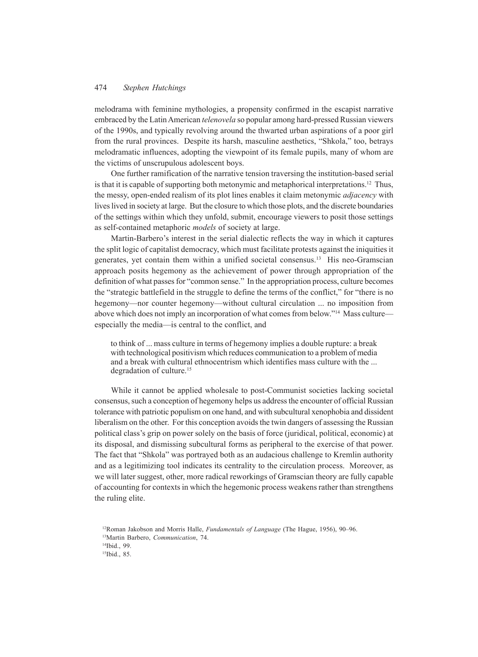melodrama with feminine mythologies, a propensity confirmed in the escapist narrative embraced by the Latin American *telenovela* so popular among hard-pressed Russian viewers of the 1990s, and typically revolving around the thwarted urban aspirations of a poor girl from the rural provinces. Despite its harsh, masculine aesthetics, "Shkola," too, betrays melodramatic influences, adopting the viewpoint of its female pupils, many of whom are the victims of unscrupulous adolescent boys.

One further ramification of the narrative tension traversing the institution-based serial is that it is capable of supporting both metonymic and metaphorical interpretations.12 Thus, the messy, open-ended realism of its plot lines enables it claim metonymic *adjacency* with lives lived in society at large. But the closure to which those plots, and the discrete boundaries of the settings within which they unfold, submit, encourage viewers to posit those settings as self-contained metaphoric *models* of society at large.

Martin-Barbero's interest in the serial dialectic reflects the way in which it captures the split logic of capitalist democracy, which must facilitate protests against the iniquities it generates, yet contain them within a unified societal consensus.13 His neo-Gramscian approach posits hegemony as the achievement of power through appropriation of the definition of what passes for "common sense." In the appropriation process, culture becomes the "strategic battlefield in the struggle to define the terms of the conflict," for "there is no hegemony—nor counter hegemony—without cultural circulation ... no imposition from above which does not imply an incorporation of what comes from below."14 Mass culture especially the media—is central to the conflict, and

to think of ... mass culture in terms of hegemony implies a double rupture: a break with technological positivism which reduces communication to a problem of media and a break with cultural ethnocentrism which identifies mass culture with the ... degradation of culture.<sup>15</sup>

While it cannot be applied wholesale to post-Communist societies lacking societal consensus, such a conception of hegemony helps us address the encounter of official Russian tolerance with patriotic populism on one hand, and with subcultural xenophobia and dissident liberalism on the other. For this conception avoids the twin dangers of assessing the Russian political class's grip on power solely on the basis of force (juridical, political, economic) at its disposal, and dismissing subcultural forms as peripheral to the exercise of that power. The fact that "Shkola" was portrayed both as an audacious challenge to Kremlin authority and as a legitimizing tool indicates its centrality to the circulation process. Moreover, as we will later suggest, other, more radical reworkings of Gramscian theory are fully capable of accounting for contexts in which the hegemonic process weakens rather than strengthens the ruling elite.

<sup>12</sup>Roman Jakobson and Morris Halle, *Fundamentals of Language* (The Hague, 1956), 90–96.

<sup>13</sup>Martin Barbero, *Communication*, 74.

<sup>14</sup>Ibid., 99.

<sup>15</sup>Ibid., 85.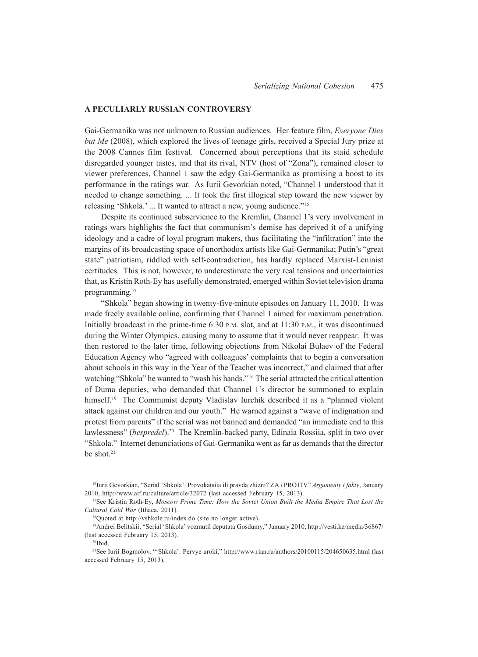# **A PECULIARLY RUSSIAN CONTROVERSY**

Gai-Germanika was not unknown to Russian audiences. Her feature film, *Everyone Dies but Me* (2008), which explored the lives of teenage girls, received a Special Jury prize at the 2008 Cannes film festival. Concerned about perceptions that its staid schedule disregarded younger tastes, and that its rival, NTV (host of "Zona"), remained closer to viewer preferences, Channel 1 saw the edgy Gai-Germanika as promising a boost to its performance in the ratings war. As Iurii Gevorkian noted, "Channel 1 understood that it needed to change something. ... It took the first illogical step toward the new viewer by releasing 'Shkola.' ... It wanted to attract a new, young audience."16

Despite its continued subservience to the Kremlin, Channel 1's very involvement in ratings wars highlights the fact that communism's demise has deprived it of a unifying ideology and a cadre of loyal program makers, thus facilitating the "infiltration" into the margins of its broadcasting space of unorthodox artists like Gai-Germanika; Putin's "great state" patriotism, riddled with self-contradiction, has hardly replaced Marxist-Leninist certitudes. This is not, however, to underestimate the very real tensions and uncertainties that, as Kristin Roth-Ey has usefully demonstrated, emerged within Soviet television drama programming.<sup>17</sup>

"Shkola" began showing in twenty-five-minute episodes on January 11, 2010. It was made freely available online, confirming that Channel 1 aimed for maximum penetration. Initially broadcast in the prime-time 6:30 P.M. slot, and at 11:30 P.M., it was discontinued during the Winter Olympics, causing many to assume that it would never reappear. It was then restored to the later time, following objections from Nikolai Bulaev of the Federal Education Agency who "agreed with colleagues' complaints that to begin a conversation about schools in this way in the Year of the Teacher was incorrect," and claimed that after watching "Shkola" he wanted to "wash his hands."<sup>18</sup> The serial attracted the critical attention of Duma deputies, who demanded that Channel 1's director be summoned to explain himself.<sup>19</sup> The Communist deputy Vladislav Iurchik described it as a "planned violent attack against our children and our youth." He warned against a "wave of indignation and protest from parents" if the serial was not banned and demanded "an immediate end to this lawlessness" (*bespredel*).20 The Kremlin-backed party, Edinaia Rossiia, split in two over "Shkola." Internet denunciations of Gai-Germanika went as far as demands that the director be shot $21$ 

<sup>16</sup>Iurii Gevorkian, "Serial 'Shkola': Provokatsiia ili pravda zhizni? ZA i PROTIV" *Argumenty i fakty*, January 2010, http://www.aif.ru/culture/article/32072 (last accessed February 15, 2013).

<sup>17</sup>See Kristin Roth-Ey, *Moscow Prime Time: How the Soviet Union Built the Media Empire That Lost the Cultural Cold War* (Ithaca, 2011).

<sup>18</sup>Quoted at http://vshkole.ru/index.do (site no longer active).

<sup>19</sup>Andrei Belitskii, "Serial 'Shkola' vozmutil deputata Gosdumy," January 2010, http://vesti.kz/media/36867/ (last accessed February 15, 2013).

 $20$ Ibid.

<sup>21</sup>See Iurii Bogmolov, "'Shkola': Pervye uroki," http://www.rian.ru/authors/20100115/204650635.html (last accessed February 15, 2013).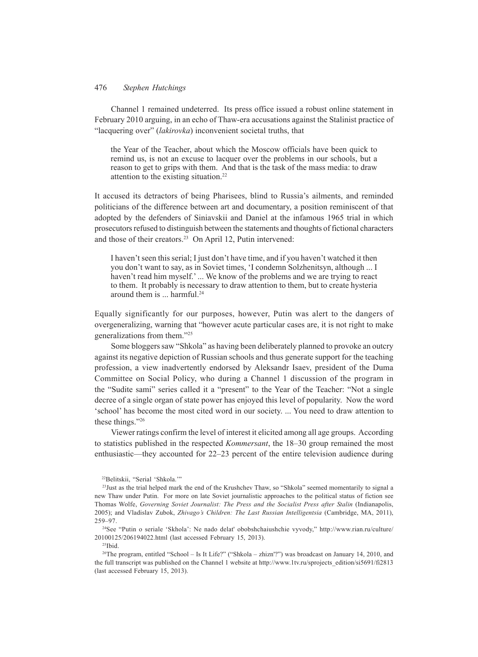Channel 1 remained undeterred. Its press office issued a robust online statement in February 2010 arguing, in an echo of Thaw-era accusations against the Stalinist practice of "lacquering over" (*lakirovka*) inconvenient societal truths, that

the Year of the Teacher, about which the Moscow officials have been quick to remind us, is not an excuse to lacquer over the problems in our schools, but a reason to get to grips with them. And that is the task of the mass media: to draw attention to the existing situation.22

It accused its detractors of being Pharisees, blind to Russia's ailments, and reminded politicians of the difference between art and documentary, a position reminiscent of that adopted by the defenders of Siniavskii and Daniel at the infamous 1965 trial in which prosecutors refused to distinguish between the statements and thoughts of fictional characters and those of their creators.23 On April 12, Putin intervened:

I haven't seen this serial; I just don't have time, and if you haven't watched it then you don't want to say, as in Soviet times, 'I condemn Solzhenitsyn, although ... I haven't read him myself.' ... We know of the problems and we are trying to react to them. It probably is necessary to draw attention to them, but to create hysteria around them is ... harmful.<sup>24</sup>

Equally significantly for our purposes, however, Putin was alert to the dangers of overgeneralizing, warning that "however acute particular cases are, it is not right to make generalizations from them."25

Some bloggers saw "Shkola" as having been deliberately planned to provoke an outcry against its negative depiction of Russian schools and thus generate support for the teaching profession, a view inadvertently endorsed by Aleksandr Isaev, president of the Duma Committee on Social Policy, who during a Channel 1 discussion of the program in the "Sudite sami" series called it a "present" to the Year of the Teacher: "Not a single decree of a single organ of state power has enjoyed this level of popularity. Now the word 'school' has become the most cited word in our society. ... You need to draw attention to these things."26

Viewer ratings confirm the level of interest it elicited among all age groups. According to statistics published in the respected *Kommersant*, the 18–30 group remained the most enthusiastic—they accounted for 22–23 percent of the entire television audience during

24See "Putin o seriale 'Skhola': Ne nado delat' obobshchaiushchie vyvody," http://www.rian.ru/culture/ 20100125/206194022.html (last accessed February 15, 2013).

 $25$ Ibid.

<sup>22</sup>Belitskii, "Serial 'Shkola.'"

<sup>23</sup>Just as the trial helped mark the end of the Krushchev Thaw, so "Shkola" seemed momentarily to signal a new Thaw under Putin. For more on late Soviet journalistic approaches to the political status of fiction see Thomas Wolfe, *Governing Soviet Journalist: The Press and the Socialist Press after Stalin* (Indianapolis, 2005); and Vladislav Zubok, *Zhivago's Children: The Last Russian Intelligentsia* (Cambridge, MA, 2011), 259–97.

<sup>&</sup>lt;sup>26</sup>The program, entitled "School – Is It Life?" ("Shkola – zhizn'?") was broadcast on January 14, 2010, and the full transcript was published on the Channel 1 website at http://www.1tv.ru/sprojects\_edition/si5691/fi2813 (last accessed February 15, 2013).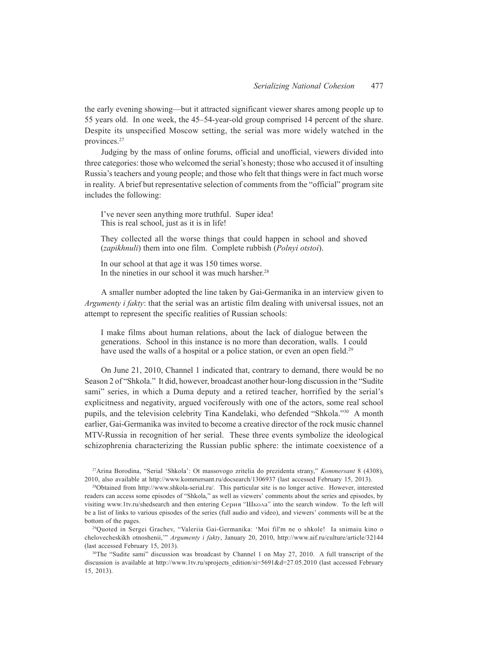the early evening showing—but it attracted significant viewer shares among people up to 55 years old. In one week, the 45–54-year-old group comprised 14 percent of the share. Despite its unspecified Moscow setting, the serial was more widely watched in the provinces.27

Judging by the mass of online forums, official and unofficial, viewers divided into three categories: those who welcomed the serial's honesty; those who accused it of insulting Russia's teachers and young people; and those who felt that things were in fact much worse in reality. A brief but representative selection of comments from the "official" program site includes the following:

I've never seen anything more truthful. Super idea! This is real school, just as it is in life!

They collected all the worse things that could happen in school and shoved (*zapikhnuli*) them into one film. Complete rubbish (*Polnyi otstoi*).

In our school at that age it was 150 times worse. In the nineties in our school it was much harsher.<sup>28</sup>

A smaller number adopted the line taken by Gai-Germanika in an interview given to *Argumenty i fakty*: that the serial was an artistic film dealing with universal issues, not an attempt to represent the specific realities of Russian schools:

I make films about human relations, about the lack of dialogue between the generations. School in this instance is no more than decoration, walls. I could have used the walls of a hospital or a police station, or even an open field.<sup>29</sup>

On June 21, 2010, Channel 1 indicated that, contrary to demand, there would be no Season 2 of "Shkola." It did, however, broadcast another hour-long discussion in the "Sudite sami" series, in which a Duma deputy and a retired teacher, horrified by the serial's explicitness and negativity, argued vociferously with one of the actors, some real school pupils, and the television celebrity Tina Kandelaki, who defended "Shkola."30 A month earlier, Gai-Germanika was invited to become a creative director of the rock music channel MTV-Russia in recognition of her serial. These three events symbolize the ideological schizophrenia characterizing the Russian public sphere: the intimate coexistence of a

<sup>27</sup>Arina Borodina, "Serial 'Shkola': Ot massovogo zritelia do prezidenta strany," *Kommersant* 8 (4308), 2010, also available at http://www.kommersant.ru/docsearch/1306937 (last accessed February 15, 2013).

<sup>28</sup>Obtained from http://www.shkola-serial.ru/. This particular site is no longer active. However, interested readers can access some episodes of "Shkola," as well as viewers' comments about the series and episodes, by visiting www.1tv.ru/shedsearch and then entering Серия "Школа" into the search window. To the left will be a list of links to various episodes of the series (full audio and video), and viewers' comments will be at the bottom of the pages.

<sup>29</sup>Quoted in Sergei Grachev, "Valeriia Gai-Germanika: 'Moi fil'm ne o shkole! Ia snimaiu kino o chelovecheskikh otnoshenii,'" *Argumenty i fakty*, January 20, 2010, http://www.aif.ru/culture/article/32144 (last accessed February 15, 2013).

<sup>&</sup>lt;sup>30</sup>The "Sudite sami" discussion was broadcast by Channel 1 on May 27, 2010. A full transcript of the discussion is available at http://www.1tv.ru/sprojects edition/si=5691&d=27.05.2010 (last accessed February 15, 2013).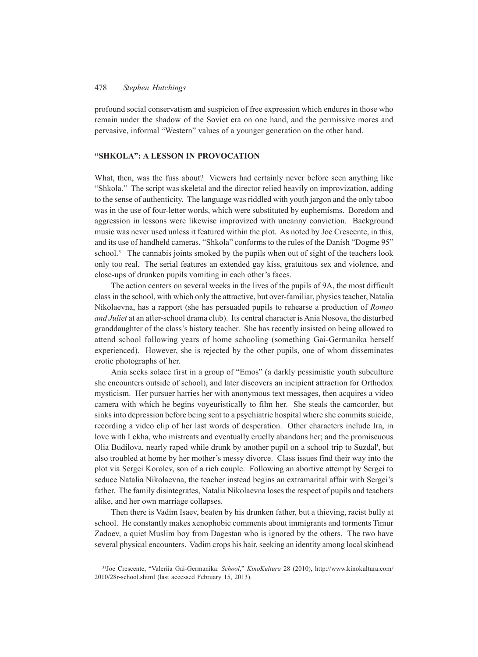profound social conservatism and suspicion of free expression which endures in those who remain under the shadow of the Soviet era on one hand, and the permissive mores and pervasive, informal "Western" values of a younger generation on the other hand.

## **"SHKOLA": A LESSON IN PROVOCATION**

What, then, was the fuss about? Viewers had certainly never before seen anything like "Shkola." The script was skeletal and the director relied heavily on improvization, adding to the sense of authenticity. The language was riddled with youth jargon and the only taboo was in the use of four-letter words, which were substituted by euphemisms. Boredom and aggression in lessons were likewise improvized with uncanny conviction. Background music was never used unless it featured within the plot. As noted by Joe Crescente, in this, and its use of handheld cameras, "Shkola" conforms to the rules of the Danish "Dogme 95" school. $31$  The cannabis joints smoked by the pupils when out of sight of the teachers look only too real. The serial features an extended gay kiss, gratuitous sex and violence, and close-ups of drunken pupils vomiting in each other's faces.

The action centers on several weeks in the lives of the pupils of 9A, the most difficult class in the school, with which only the attractive, but over-familiar, physics teacher, Natalia Nikolaevna, has a rapport (she has persuaded pupils to rehearse a production of *Romeo and Juliet* at an after-school drama club). Its central character is Ania Nosova, the disturbed granddaughter of the class's history teacher. She has recently insisted on being allowed to attend school following years of home schooling (something Gai-Germanika herself experienced). However, she is rejected by the other pupils, one of whom disseminates erotic photographs of her.

Ania seeks solace first in a group of "Emos" (a darkly pessimistic youth subculture she encounters outside of school), and later discovers an incipient attraction for Orthodox mysticism. Her pursuer harries her with anonymous text messages, then acquires a video camera with which he begins voyeuristically to film her. She steals the camcorder, but sinks into depression before being sent to a psychiatric hospital where she commits suicide, recording a video clip of her last words of desperation. Other characters include Ira, in love with Lekha, who mistreats and eventually cruelly abandons her; and the promiscuous Olia Budilova, nearly raped while drunk by another pupil on a school trip to Suzdal', but also troubled at home by her mother's messy divorce. Class issues find their way into the plot via Sergei Korolev, son of a rich couple. Following an abortive attempt by Sergei to seduce Natalia Nikolaevna, the teacher instead begins an extramarital affair with Sergei's father. The family disintegrates, Natalia Nikolaevna loses the respect of pupils and teachers alike, and her own marriage collapses.

Then there is Vadim Isaev, beaten by his drunken father, but a thieving, racist bully at school. He constantly makes xenophobic comments about immigrants and torments Timur Zadoev, a quiet Muslim boy from Dagestan who is ignored by the others. The two have several physical encounters. Vadim crops his hair, seeking an identity among local skinhead

<sup>31</sup>Joe Crescente, "Valeriia Gai-Germanika: *School*," *KinoKultura* 28 (2010), http://www.kinokultura.com/ 2010/28r-school.shtml (last accessed February 15, 2013).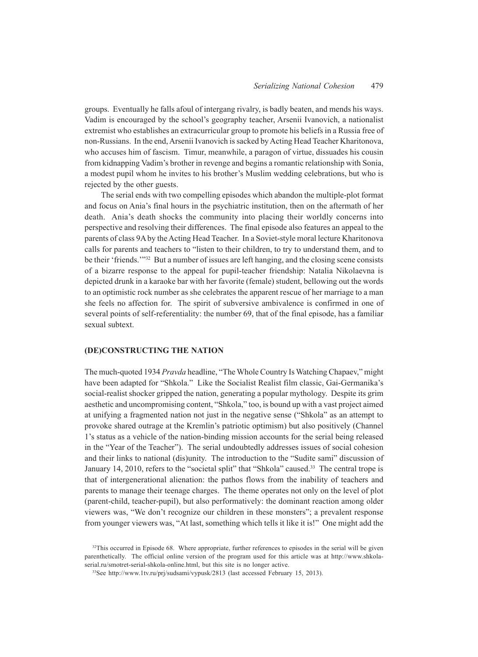groups. Eventually he falls afoul of intergang rivalry, is badly beaten, and mends his ways. Vadim is encouraged by the school's geography teacher, Arsenii Ivanovich, a nationalist extremist who establishes an extracurricular group to promote his beliefs in a Russia free of non-Russians. In the end, Arsenii Ivanovich is sacked by Acting Head Teacher Kharitonova, who accuses him of fascism. Timur, meanwhile, a paragon of virtue, dissuades his cousin from kidnapping Vadim's brother in revenge and begins a romantic relationship with Sonia, a modest pupil whom he invites to his brother's Muslim wedding celebrations, but who is rejected by the other guests.

The serial ends with two compelling episodes which abandon the multiple-plot format and focus on Ania's final hours in the psychiatric institution, then on the aftermath of her death. Ania's death shocks the community into placing their worldly concerns into perspective and resolving their differences. The final episode also features an appeal to the parents of class 9A by the Acting Head Teacher. In a Soviet-style moral lecture Kharitonova calls for parents and teachers to "listen to their children, to try to understand them, and to be their 'friends.'"<sup>32</sup> But a number of issues are left hanging, and the closing scene consists of a bizarre response to the appeal for pupil-teacher friendship: Natalia Nikolaevna is depicted drunk in a karaoke bar with her favorite (female) student, bellowing out the words to an optimistic rock number as she celebrates the apparent rescue of her marriage to a man she feels no affection for. The spirit of subversive ambivalence is confirmed in one of several points of self-referentiality: the number 69, that of the final episode, has a familiar sexual subtext.

## **(DE)CONSTRUCTING THE NATION**

The much-quoted 1934 *Pravda* headline, "The Whole Country Is Watching Chapaev," might have been adapted for "Shkola." Like the Socialist Realist film classic, Gai-Germanika's social-realist shocker gripped the nation, generating a popular mythology. Despite its grim aesthetic and uncompromising content, "Shkola," too, is bound up with a vast project aimed at unifying a fragmented nation not just in the negative sense ("Shkola" as an attempt to provoke shared outrage at the Kremlin's patriotic optimism) but also positively (Channel 1's status as a vehicle of the nation-binding mission accounts for the serial being released in the "Year of the Teacher"). The serial undoubtedly addresses issues of social cohesion and their links to national (dis)unity. The introduction to the "Sudite sami" discussion of January 14, 2010, refers to the "societal split" that "Shkola" caused.<sup>33</sup> The central trope is that of intergenerational alienation: the pathos flows from the inability of teachers and parents to manage their teenage charges. The theme operates not only on the level of plot (parent-child, teacher-pupil), but also performatively: the dominant reaction among older viewers was, "We don't recognize our children in these monsters"; a prevalent response from younger viewers was, "At last, something which tells it like it is!" One might add the

<sup>&</sup>lt;sup>32</sup>This occurred in Episode 68. Where appropriate, further references to episodes in the serial will be given parenthetically. The official online version of the program used for this article was at http://www.shkolaserial.ru/smotret-serial-shkola-online.html, but this site is no longer active.

<sup>33</sup>See http://www.1tv.ru/prj/sudsami/vypusk/2813 (last accessed February 15, 2013).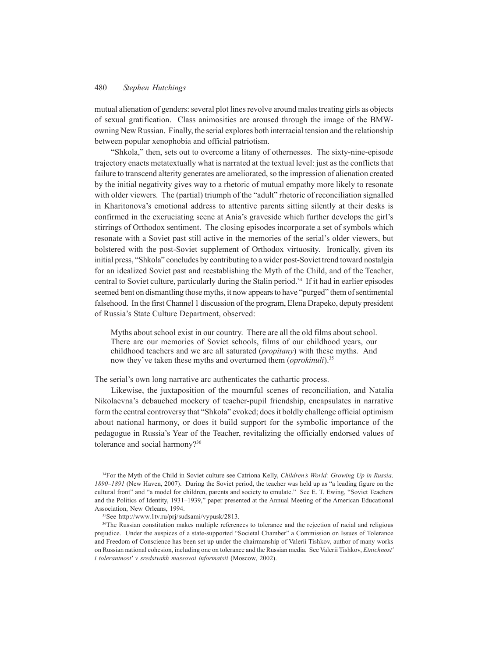mutual alienation of genders: several plot lines revolve around males treating girls as objects of sexual gratification. Class animosities are aroused through the image of the BMWowning New Russian. Finally, the serial explores both interracial tension and the relationship between popular xenophobia and official patriotism.

"Shkola," then, sets out to overcome a litany of othernesses. The sixty-nine-episode trajectory enacts metatextually what is narrated at the textual level: just as the conflicts that failure to transcend alterity generates are ameliorated, so the impression of alienation created by the initial negativity gives way to a rhetoric of mutual empathy more likely to resonate with older viewers. The (partial) triumph of the "adult" rhetoric of reconciliation signalled in Kharitonova's emotional address to attentive parents sitting silently at their desks is confirmed in the excruciating scene at Ania's graveside which further develops the girl's stirrings of Orthodox sentiment. The closing episodes incorporate a set of symbols which resonate with a Soviet past still active in the memories of the serial's older viewers, but bolstered with the post-Soviet supplement of Orthodox virtuosity. Ironically, given its initial press, "Shkola" concludes by contributing to a wider post-Soviet trend toward nostalgia for an idealized Soviet past and reestablishing the Myth of the Child, and of the Teacher, central to Soviet culture, particularly during the Stalin period.34 If it had in earlier episodes seemed bent on dismantling those myths, it now appears to have "purged" them of sentimental falsehood. In the first Channel 1 discussion of the program, Elena Drapeko, deputy president of Russia's State Culture Department, observed:

Myths about school exist in our country. There are all the old films about school. There are our memories of Soviet schools, films of our childhood years, our childhood teachers and we are all saturated (*propitany*) with these myths. And now they've taken these myths and overturned them (*oprokinuli*).<sup>35</sup>

The serial's own long narrative arc authenticates the cathartic process.

Likewise, the juxtaposition of the mournful scenes of reconciliation, and Natalia Nikolaevna's debauched mockery of teacher-pupil friendship, encapsulates in narrative form the central controversy that "Shkola" evoked; does it boldly challenge official optimism about national harmony, or does it build support for the symbolic importance of the pedagogue in Russia's Year of the Teacher, revitalizing the officially endorsed values of tolerance and social harmony?36

<sup>34</sup>For the Myth of the Child in Soviet culture see Catriona Kelly, *Children's World: Growing Up in Russia, 1890–1891* (New Haven, 2007). During the Soviet period, the teacher was held up as "a leading figure on the cultural front" and "a model for children, parents and society to emulate." See E. T. Ewing, "Soviet Teachers and the Politics of Identity, 1931–1939," paper presented at the Annual Meeting of the American Educational Association, New Orleans, 1994.

<sup>35</sup>See http://www.1tv.ru/prj/sudsami/vypusk/2813.

<sup>&</sup>lt;sup>36</sup>The Russian constitution makes multiple references to tolerance and the rejection of racial and religious prejudice. Under the auspices of a state-supported "Societal Chamber" a Commission on Issues of Tolerance and Freedom of Conscience has been set up under the chairmanship of Valerii Tishkov, author of many works on Russian national cohesion, including one on tolerance and the Russian media. See Valerii Tishkov, *Etnichnost' i tolerantnost' v sredstvakh massovoi informatsii* (Moscow, 2002).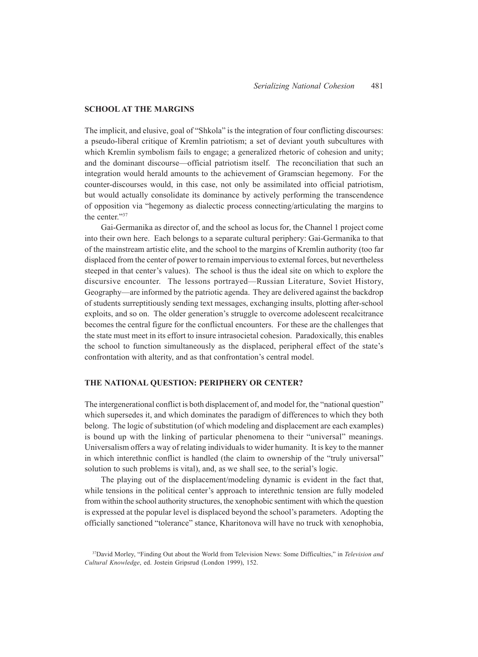## **SCHOOL AT THE MARGINS**

The implicit, and elusive, goal of "Shkola" is the integration of four conflicting discourses: a pseudo-liberal critique of Kremlin patriotism; a set of deviant youth subcultures with which Kremlin symbolism fails to engage; a generalized rhetoric of cohesion and unity; and the dominant discourse—official patriotism itself. The reconciliation that such an integration would herald amounts to the achievement of Gramscian hegemony. For the counter-discourses would, in this case, not only be assimilated into official patriotism, but would actually consolidate its dominance by actively performing the transcendence of opposition via "hegemony as dialectic process connecting/articulating the margins to the center."37

Gai-Germanika as director of, and the school as locus for, the Channel 1 project come into their own here. Each belongs to a separate cultural periphery: Gai-Germanika to that of the mainstream artistic elite, and the school to the margins of Kremlin authority (too far displaced from the center of power to remain impervious to external forces, but nevertheless steeped in that center's values). The school is thus the ideal site on which to explore the discursive encounter. The lessons portrayed—Russian Literature, Soviet History, Geography—are informed by the patriotic agenda. They are delivered against the backdrop of students surreptitiously sending text messages, exchanging insults, plotting after-school exploits, and so on. The older generation's struggle to overcome adolescent recalcitrance becomes the central figure for the conflictual encounters. For these are the challenges that the state must meet in its effort to insure intrasocietal cohesion. Paradoxically, this enables the school to function simultaneously as the displaced, peripheral effect of the state's confrontation with alterity, and as that confrontation's central model.

## **THE NATIONAL QUESTION: PERIPHERY OR CENTER?**

The intergenerational conflict is both displacement of, and model for, the "national question" which supersedes it, and which dominates the paradigm of differences to which they both belong. The logic of substitution (of which modeling and displacement are each examples) is bound up with the linking of particular phenomena to their "universal" meanings. Universalism offers a way of relating individuals to wider humanity. It is key to the manner in which interethnic conflict is handled (the claim to ownership of the "truly universal" solution to such problems is vital), and, as we shall see, to the serial's logic.

The playing out of the displacement/modeling dynamic is evident in the fact that, while tensions in the political center's approach to interethnic tension are fully modeled from within the school authority structures, the xenophobic sentiment with which the question is expressed at the popular level is displaced beyond the school's parameters. Adopting the officially sanctioned "tolerance" stance, Kharitonova will have no truck with xenophobia,

<sup>37</sup>David Morley, "Finding Out about the World from Television News: Some Difficulties," in *Television and Cultural Knowledge*, ed. Jostein Gripsrud (London 1999), 152.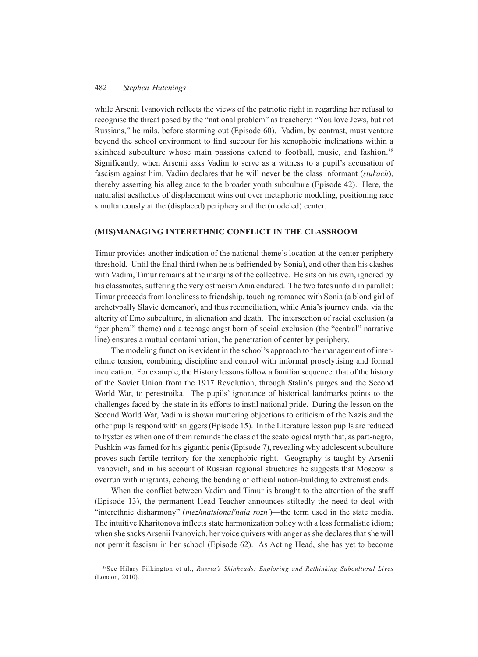while Arsenii Ivanovich reflects the views of the patriotic right in regarding her refusal to recognise the threat posed by the "national problem" as treachery: "You love Jews, but not Russians," he rails, before storming out (Episode 60). Vadim, by contrast, must venture beyond the school environment to find succour for his xenophobic inclinations within a skinhead subculture whose main passions extend to football, music, and fashion.<sup>38</sup> Significantly, when Arsenii asks Vadim to serve as a witness to a pupil's accusation of fascism against him, Vadim declares that he will never be the class informant (*stukach*), thereby asserting his allegiance to the broader youth subculture (Episode 42). Here, the naturalist aesthetics of displacement wins out over metaphoric modeling, positioning race simultaneously at the (displaced) periphery and the (modeled) center.

## **(MIS)MANAGING INTERETHNIC CONFLICT IN THE CLASSROOM**

Timur provides another indication of the national theme's location at the center-periphery threshold. Until the final third (when he is befriended by Sonia), and other than his clashes with Vadim, Timur remains at the margins of the collective. He sits on his own, ignored by his classmates, suffering the very ostracism Ania endured. The two fates unfold in parallel: Timur proceeds from loneliness to friendship, touching romance with Sonia (a blond girl of archetypally Slavic demeanor), and thus reconciliation, while Ania's journey ends, via the alterity of Emo subculture, in alienation and death. The intersection of racial exclusion (a "peripheral" theme) and a teenage angst born of social exclusion (the "central" narrative line) ensures a mutual contamination, the penetration of center by periphery.

The modeling function is evident in the school's approach to the management of interethnic tension, combining discipline and control with informal proselytising and formal inculcation. For example, the History lessons follow a familiar sequence: that of the history of the Soviet Union from the 1917 Revolution, through Stalin's purges and the Second World War, to perestroika. The pupils' ignorance of historical landmarks points to the challenges faced by the state in its efforts to instil national pride. During the lesson on the Second World War, Vadim is shown muttering objections to criticism of the Nazis and the other pupils respond with sniggers (Episode 15). In the Literature lesson pupils are reduced to hysterics when one of them reminds the class of the scatological myth that, as part-negro, Pushkin was famed for his gigantic penis (Episode 7), revealing why adolescent subculture proves such fertile territory for the xenophobic right. Geography is taught by Arsenii Ivanovich, and in his account of Russian regional structures he suggests that Moscow is overrun with migrants, echoing the bending of official nation-building to extremist ends.

When the conflict between Vadim and Timur is brought to the attention of the staff (Episode 13), the permanent Head Teacher announces stiltedly the need to deal with "interethnic disharmony" (*mezhnatsional'naia rozn'*)—the term used in the state media. The intuitive Kharitonova inflects state harmonization policy with a less formalistic idiom; when she sacks Arsenii Ivanovich, her voice quivers with anger as she declares that she will not permit fascism in her school (Episode 62). As Acting Head, she has yet to become

<sup>38</sup>See Hilary Pilkington et al., *Russia's Skinheads: Exploring and Rethinking Subcultural Lives* (London, 2010).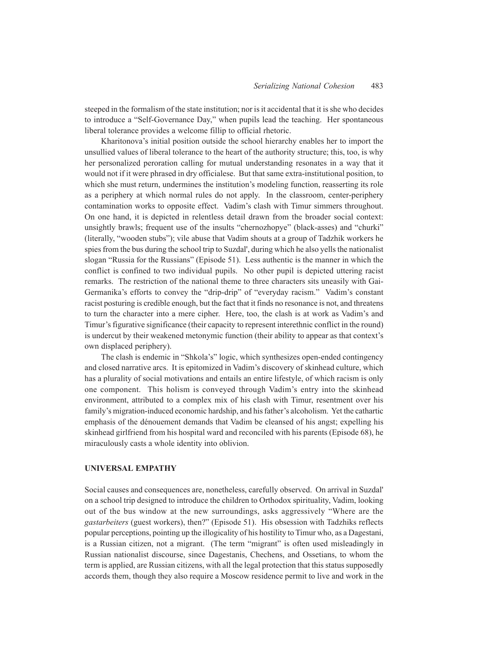steeped in the formalism of the state institution; nor is it accidental that it is she who decides to introduce a "Self-Governance Day," when pupils lead the teaching. Her spontaneous liberal tolerance provides a welcome fillip to official rhetoric.

Kharitonova's initial position outside the school hierarchy enables her to import the unsullied values of liberal tolerance to the heart of the authority structure; this, too, is why her personalized peroration calling for mutual understanding resonates in a way that it would not if it were phrased in dry officialese. But that same extra-institutional position, to which she must return, undermines the institution's modeling function, reasserting its role as a periphery at which normal rules do not apply. In the classroom, center-periphery contamination works to opposite effect. Vadim's clash with Timur simmers throughout. On one hand, it is depicted in relentless detail drawn from the broader social context: unsightly brawls; frequent use of the insults "chernozhopye" (black-asses) and "churki" (literally, "wooden stubs"); vile abuse that Vadim shouts at a group of Tadzhik workers he spies from the bus during the school trip to Suzdal', during which he also yells the nationalist slogan "Russia for the Russians" (Episode 51). Less authentic is the manner in which the conflict is confined to two individual pupils. No other pupil is depicted uttering racist remarks. The restriction of the national theme to three characters sits uneasily with Gai-Germanika's efforts to convey the "drip-drip" of "everyday racism." Vadim's constant racist posturing is credible enough, but the fact that it finds no resonance is not, and threatens to turn the character into a mere cipher. Here, too, the clash is at work as Vadim's and Timur's figurative significance (their capacity to represent interethnic conflict in the round) is undercut by their weakened metonymic function (their ability to appear as that context's own displaced periphery).

The clash is endemic in "Shkola's" logic, which synthesizes open-ended contingency and closed narrative arcs. It is epitomized in Vadim's discovery of skinhead culture, which has a plurality of social motivations and entails an entire lifestyle, of which racism is only one component. This holism is conveyed through Vadim's entry into the skinhead environment, attributed to a complex mix of his clash with Timur, resentment over his family's migration-induced economic hardship, and his father's alcoholism. Yet the cathartic emphasis of the dénouement demands that Vadim be cleansed of his angst; expelling his skinhead girlfriend from his hospital ward and reconciled with his parents (Episode 68), he miraculously casts a whole identity into oblivion.

## **UNIVERSAL EMPATHY**

Social causes and consequences are, nonetheless, carefully observed. On arrival in Suzdal' on a school trip designed to introduce the children to Orthodox spirituality, Vadim, looking out of the bus window at the new surroundings, asks aggressively "Where are the *gastarbeiters* (guest workers), then?" (Episode 51). His obsession with Tadzhiks reflects popular perceptions, pointing up the illogicality of his hostility to Timur who, as a Dagestani, is a Russian citizen, not a migrant. (The term "migrant" is often used misleadingly in Russian nationalist discourse, since Dagestanis, Chechens, and Ossetians, to whom the term is applied, are Russian citizens, with all the legal protection that this status supposedly accords them, though they also require a Moscow residence permit to live and work in the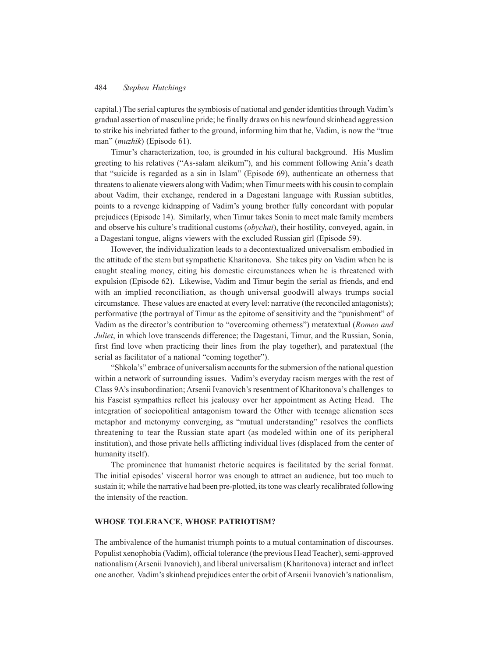capital.) The serial captures the symbiosis of national and gender identities through Vadim's gradual assertion of masculine pride; he finally draws on his newfound skinhead aggression to strike his inebriated father to the ground, informing him that he, Vadim, is now the "true man" (*muzhik*) (Episode 61).

Timur's characterization, too, is grounded in his cultural background. His Muslim greeting to his relatives ("As-salam aleikum"), and his comment following Ania's death that "suicide is regarded as a sin in Islam" (Episode 69), authenticate an otherness that threatens to alienate viewers along with Vadim; when Timur meets with his cousin to complain about Vadim, their exchange, rendered in a Dagestani language with Russian subtitles, points to a revenge kidnapping of Vadim's young brother fully concordant with popular prejudices (Episode 14). Similarly, when Timur takes Sonia to meet male family members and observe his culture's traditional customs (*obychai*), their hostility, conveyed, again, in a Dagestani tongue, aligns viewers with the excluded Russian girl (Episode 59).

However, the individualization leads to a decontextualized universalism embodied in the attitude of the stern but sympathetic Kharitonova. She takes pity on Vadim when he is caught stealing money, citing his domestic circumstances when he is threatened with expulsion (Episode 62). Likewise, Vadim and Timur begin the serial as friends, and end with an implied reconciliation, as though universal goodwill always trumps social circumstance. These values are enacted at every level: narrative (the reconciled antagonists); performative (the portrayal of Timur as the epitome of sensitivity and the "punishment" of Vadim as the director's contribution to "overcoming otherness") metatextual (*Romeo and Juliet*, in which love transcends difference; the Dagestani, Timur, and the Russian, Sonia, first find love when practicing their lines from the play together), and paratextual (the serial as facilitator of a national "coming together").

"Shkola's" embrace of universalism accounts for the submersion of the national question within a network of surrounding issues. Vadim's everyday racism merges with the rest of Class 9A's insubordination; Arsenii Ivanovich's resentment of Kharitonova's challenges to his Fascist sympathies reflect his jealousy over her appointment as Acting Head. The integration of sociopolitical antagonism toward the Other with teenage alienation sees metaphor and metonymy converging, as "mutual understanding" resolves the conflicts threatening to tear the Russian state apart (as modeled within one of its peripheral institution), and those private hells afflicting individual lives (displaced from the center of humanity itself).

The prominence that humanist rhetoric acquires is facilitated by the serial format. The initial episodes' visceral horror was enough to attract an audience, but too much to sustain it; while the narrative had been pre-plotted, its tone was clearly recalibrated following the intensity of the reaction.

#### **WHOSE TOLERANCE, WHOSE PATRIOTISM?**

The ambivalence of the humanist triumph points to a mutual contamination of discourses. Populist xenophobia (Vadim), official tolerance (the previous Head Teacher), semi-approved nationalism (Arsenii Ivanovich), and liberal universalism (Kharitonova) interact and inflect one another. Vadim's skinhead prejudices enter the orbit of Arsenii Ivanovich's nationalism,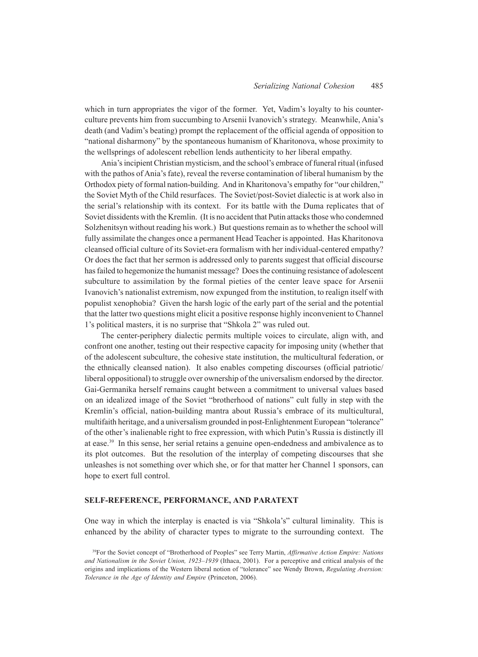which in turn appropriates the vigor of the former. Yet, Vadim's loyalty to his counterculture prevents him from succumbing to Arsenii Ivanovich's strategy. Meanwhile, Ania's death (and Vadim's beating) prompt the replacement of the official agenda of opposition to "national disharmony" by the spontaneous humanism of Kharitonova, whose proximity to the wellsprings of adolescent rebellion lends authenticity to her liberal empathy.

Ania's incipient Christian mysticism, and the school's embrace of funeral ritual (infused with the pathos of Ania's fate), reveal the reverse contamination of liberal humanism by the Orthodox piety of formal nation-building. And in Kharitonova's empathy for "our children," the Soviet Myth of the Child resurfaces. The Soviet/post-Soviet dialectic is at work also in the serial's relationship with its context. For its battle with the Duma replicates that of Soviet dissidents with the Kremlin. (It is no accident that Putin attacks those who condemned Solzhenitsyn without reading his work.) But questions remain as to whether the school will fully assimilate the changes once a permanent Head Teacher is appointed. Has Kharitonova cleansed official culture of its Soviet-era formalism with her individual-centered empathy? Or does the fact that her sermon is addressed only to parents suggest that official discourse has failed to hegemonize the humanist message? Does the continuing resistance of adolescent subculture to assimilation by the formal pieties of the center leave space for Arsenii Ivanovich's nationalist extremism, now expunged from the institution, to realign itself with populist xenophobia? Given the harsh logic of the early part of the serial and the potential that the latter two questions might elicit a positive response highly inconvenient to Channel 1's political masters, it is no surprise that "Shkola 2" was ruled out.

The center-periphery dialectic permits multiple voices to circulate, align with, and confront one another, testing out their respective capacity for imposing unity (whether that of the adolescent subculture, the cohesive state institution, the multicultural federation, or the ethnically cleansed nation). It also enables competing discourses (official patriotic/ liberal oppositional) to struggle over ownership of the universalism endorsed by the director. Gai-Germanika herself remains caught between a commitment to universal values based on an idealized image of the Soviet "brotherhood of nations" cult fully in step with the Kremlin's official, nation-building mantra about Russia's embrace of its multicultural, multifaith heritage, and a universalism grounded in post-Enlightenment European "tolerance" of the other's inalienable right to free expression, with which Putin's Russia is distinctly ill at ease.39 In this sense, her serial retains a genuine open-endedness and ambivalence as to its plot outcomes. But the resolution of the interplay of competing discourses that she unleashes is not something over which she, or for that matter her Channel 1 sponsors, can hope to exert full control.

## **SELF-REFERENCE, PERFORMANCE, AND PARATEXT**

One way in which the interplay is enacted is via "Shkola's" cultural liminality. This is enhanced by the ability of character types to migrate to the surrounding context. The

<sup>39</sup>For the Soviet concept of "Brotherhood of Peoples" see Terry Martin, *Affirmative Action Empire: Nations and Nationalism in the Soviet Union, 1923–1939* (Ithaca, 2001). For a perceptive and critical analysis of the origins and implications of the Western liberal notion of "tolerance" see Wendy Brown, *Regulating Aversion: Tolerance in the Age of Identity and Empire* (Princeton, 2006).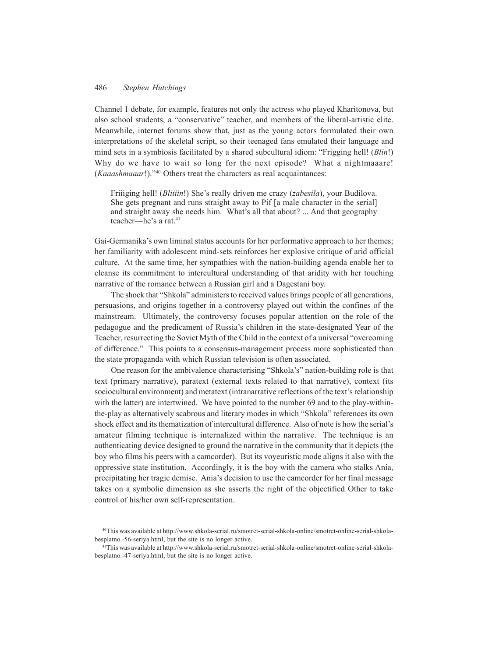Channel 1 debate, for example, features not only the actress who played Kharitonova, but also school students, a "conservative" teacher, and members of the liberal-artistic elite. Meanwhile, internet forums show that, just as the young actors formulated their own interpretations of the skeletal script, so their teenaged fans emulated their language and mind sets in a symbiosis facilitated by a shared subcultural idiom: "Frigging hell! (*Blin*!) Why do we have to wait so long for the next episode? What a nightmaaare! (*Kaaashmaaar*!)."40 Others treat the characters as real acquaintances:

Friiiging hell! (*Bliiiin*!) She's really driven me crazy (*zabesila*), your Budilova. She gets pregnant and runs straight away to Pif [a male character in the serial] and straight away she needs him. What's all that about? ... And that geography teacher—he's a rat.<sup>41</sup>

Gai-Germanika's own liminal status accounts for her performative approach to her themes; her familiarity with adolescent mind-sets reinforces her explosive critique of arid official culture. At the same time, her sympathies with the nation-building agenda enable her to cleanse its commitment to intercultural understanding of that aridity with her touching narrative of the romance between a Russian girl and a Dagestani boy.

The shock that "Shkola" administers to received values brings people of all generations, persuasions, and origins together in a controversy played out within the confines of the mainstream. Ultimately, the controversy focuses popular attention on the role of the pedagogue and the predicament of Russia's children in the state-designated Year of the Teacher, resurrecting the Soviet Myth of the Child in the context of a universal "overcoming of difference." This points to a consensus-management process more sophisticated than the state propaganda with which Russian television is often associated.

One reason for the ambivalence characterising "Shkola's" nation-building role is that text (primary narrative), paratext (external texts related to that narrative), context (its sociocultural environment) and metatext (intranarrative reflections of the text's relationship with the latter) are intertwined. We have pointed to the number 69 and to the play-withinthe-play as alternatively scabrous and literary modes in which "Shkola" references its own shock effect and its thematization of intercultural difference. Also of note is how the serial's amateur filming technique is internalized within the narrative. The technique is an authenticating device designed to ground the narrative in the community that it depicts (the boy who films his peers with a camcorder). But its voyeuristic mode aligns it also with the oppressive state institution. Accordingly, it is the boy with the camera who stalks Ania, precipitating her tragic demise. Ania's decision to use the camcorder for her final message takes on a symbolic dimension as she asserts the right of the objectified Other to take control of his/her own self-representation.

<sup>40</sup>This was available at http://www.shkola-serial.ru/smotret-serial-shkola-online/smotret-online-serial-shkolabesplatno.-56-seriya.html, but the site is no longer active.

<sup>41</sup>This was available at http://www.shkola-serial.ru/smotret-serial-shkola-online/smotret-online-serial-shkolabesplatno.-47-seriya.html, but the site is no longer active.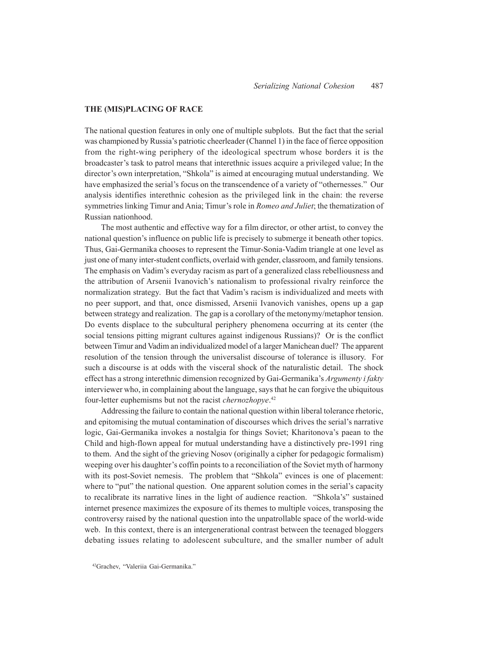## **THE (MIS)PLACING OF RACE**

The national question features in only one of multiple subplots. But the fact that the serial was championed by Russia's patriotic cheerleader (Channel 1) in the face of fierce opposition from the right-wing periphery of the ideological spectrum whose borders it is the broadcaster's task to patrol means that interethnic issues acquire a privileged value; In the director's own interpretation, "Shkola" is aimed at encouraging mutual understanding. We have emphasized the serial's focus on the transcendence of a variety of "othernesses." Our analysis identifies interethnic cohesion as the privileged link in the chain: the reverse symmetries linking Timur and Ania; Timur's role in *Romeo and Juliet*; the thematization of Russian nationhood.

The most authentic and effective way for a film director, or other artist, to convey the national question's influence on public life is precisely to submerge it beneath other topics. Thus, Gai-Germanika chooses to represent the Timur-Sonia-Vadim triangle at one level as just one of many inter-student conflicts, overlaid with gender, classroom, and family tensions. The emphasis on Vadim's everyday racism as part of a generalized class rebelliousness and the attribution of Arsenii Ivanovich's nationalism to professional rivalry reinforce the normalization strategy. But the fact that Vadim's racism is individualized and meets with no peer support, and that, once dismissed, Arsenii Ivanovich vanishes, opens up a gap between strategy and realization. The gap is a corollary of the metonymy/metaphor tension. Do events displace to the subcultural periphery phenomena occurring at its center (the social tensions pitting migrant cultures against indigenous Russians)? Or is the conflict between Timur and Vadim an individualized model of a larger Manichean duel? The apparent resolution of the tension through the universalist discourse of tolerance is illusory. For such a discourse is at odds with the visceral shock of the naturalistic detail. The shock effect has a strong interethnic dimension recognized by Gai-Germanika's *Argumenty i fakty* interviewer who, in complaining about the language, says that he can forgive the ubiquitous four-letter euphemisms but not the racist *chernozhopye*. 42

Addressing the failure to contain the national question within liberal tolerance rhetoric, and epitomising the mutual contamination of discourses which drives the serial's narrative logic, Gai-Germanika invokes a nostalgia for things Soviet; Kharitonova's paean to the Child and high-flown appeal for mutual understanding have a distinctively pre-1991 ring to them. And the sight of the grieving Nosov (originally a cipher for pedagogic formalism) weeping over his daughter's coffin points to a reconciliation of the Soviet myth of harmony with its post-Soviet nemesis. The problem that "Shkola" evinces is one of placement: where to "put" the national question. One apparent solution comes in the serial's capacity to recalibrate its narrative lines in the light of audience reaction. "Shkola's" sustained internet presence maximizes the exposure of its themes to multiple voices, transposing the controversy raised by the national question into the unpatrollable space of the world-wide web. In this context, there is an intergenerational contrast between the teenaged bloggers debating issues relating to adolescent subculture, and the smaller number of adult

<sup>42</sup>Grachev, "Valeriia Gai-Germanika."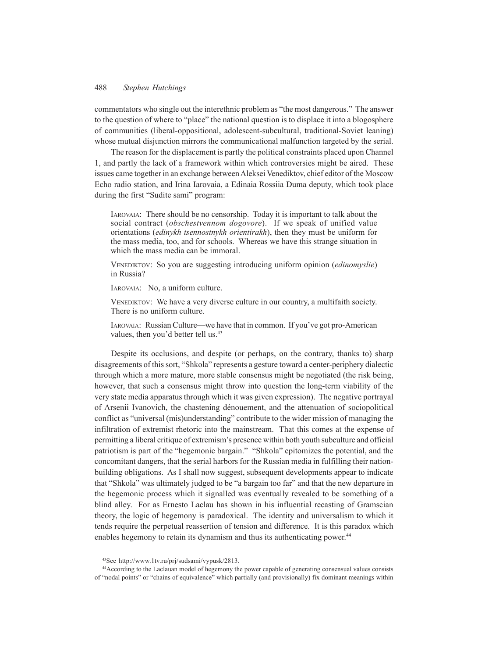commentators who single out the interethnic problem as "the most dangerous." The answer to the question of where to "place" the national question is to displace it into a blogosphere of communities (liberal-oppositional, adolescent-subcultural, traditional-Soviet leaning) whose mutual disjunction mirrors the communicational malfunction targeted by the serial.

The reason for the displacement is partly the political constraints placed upon Channel 1, and partly the lack of a framework within which controversies might be aired. These issues came together in an exchange between Aleksei Venediktov, chief editor of the Moscow Echo radio station, and Irina Iarovaia, a Edinaia Rossiia Duma deputy, which took place during the first "Sudite sami" program:

IAROVAIA: There should be no censorship. Today it is important to talk about the social contract (*obschestvennom dogovore*). If we speak of unified value orientations (*edinykh tsennostnykh orientirakh*), then they must be uniform for the mass media, too, and for schools. Whereas we have this strange situation in which the mass media can be immoral.

VENEDIKTOV: So you are suggesting introducing uniform opinion (*edinomyslie*) in Russia?

IAROVAIA: No, a uniform culture.

VENEDIKTOV: We have a very diverse culture in our country, a multifaith society. There is no uniform culture.

IAROVAIA: Russian Culture—we have that in common. If you've got pro-American values, then you'd better tell us.<sup>43</sup>

Despite its occlusions, and despite (or perhaps, on the contrary, thanks to) sharp disagreements of this sort, "Shkola" represents a gesture toward a center-periphery dialectic through which a more mature, more stable consensus might be negotiated (the risk being, however, that such a consensus might throw into question the long-term viability of the very state media apparatus through which it was given expression). The negative portrayal of Arsenii Ivanovich, the chastening dénouement, and the attenuation of sociopolitical conflict as "universal (mis)understanding" contribute to the wider mission of managing the infiltration of extremist rhetoric into the mainstream. That this comes at the expense of permitting a liberal critique of extremism's presence within both youth subculture and official patriotism is part of the "hegemonic bargain." "Shkola" epitomizes the potential, and the concomitant dangers, that the serial harbors for the Russian media in fulfilling their nationbuilding obligations. As I shall now suggest, subsequent developments appear to indicate that "Shkola" was ultimately judged to be "a bargain too far" and that the new departure in the hegemonic process which it signalled was eventually revealed to be something of a blind alley. For as Ernesto Laclau has shown in his influential recasting of Gramscian theory, the logic of hegemony is paradoxical. The identity and universalism to which it tends require the perpetual reassertion of tension and difference. It is this paradox which enables hegemony to retain its dynamism and thus its authenticating power.<sup>44</sup>

44According to the Laclauan model of hegemony the power capable of generating consensual values consists of "nodal points" or "chains of equivalence" which partially (and provisionally) fix dominant meanings within

<sup>43</sup>See http://www.1tv.ru/prj/sudsami/vypusk/2813.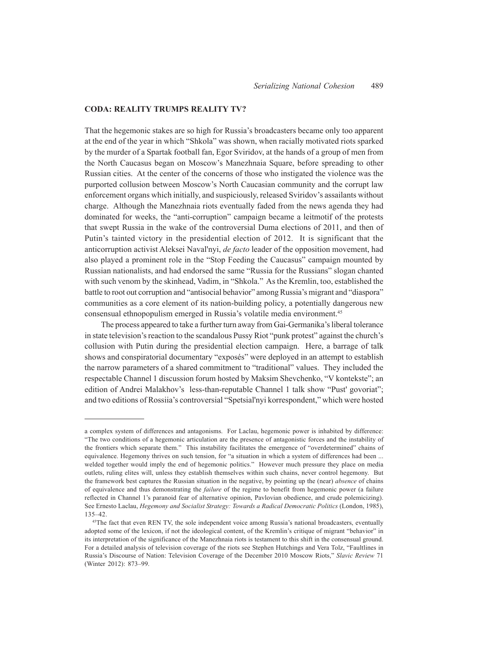# **CODA: REALITY TRUMPS REALITY TV?**

That the hegemonic stakes are so high for Russia's broadcasters became only too apparent at the end of the year in which "Shkola" was shown, when racially motivated riots sparked by the murder of a Spartak football fan, Egor Sviridov, at the hands of a group of men from the North Caucasus began on Moscow's Manezhnaia Square, before spreading to other Russian cities. At the center of the concerns of those who instigated the violence was the purported collusion between Moscow's North Caucasian community and the corrupt law enforcement organs which initially, and suspiciously, released Sviridov's assailants without charge. Although the Manezhnaia riots eventually faded from the news agenda they had dominated for weeks, the "anti-corruption" campaign became a leitmotif of the protests that swept Russia in the wake of the controversial Duma elections of 2011, and then of Putin's tainted victory in the presidential election of 2012. It is significant that the anticorruption activist Aleksei Naval'nyi, *de facto* leader of the opposition movement, had also played a prominent role in the "Stop Feeding the Caucasus" campaign mounted by Russian nationalists, and had endorsed the same "Russia for the Russians" slogan chanted with such venom by the skinhead, Vadim, in "Shkola." As the Kremlin, too, established the battle to root out corruption and "antisocial behavior" among Russia's migrant and "diaspora" communities as a core element of its nation-building policy, a potentially dangerous new consensual ethnopopulism emerged in Russia's volatile media environment.<sup>45</sup>

The process appeared to take a further turn away from Gai-Germanika's liberal tolerance in state television's reaction to the scandalous Pussy Riot "punk protest" against the church's collusion with Putin during the presidential election campaign. Here, a barrage of talk shows and conspiratorial documentary "exposés" were deployed in an attempt to establish the narrow parameters of a shared commitment to "traditional" values. They included the respectable Channel 1 discussion forum hosted by Maksim Shevchenko, "V kontekste"; an edition of Andrei Malakhov's less-than-reputable Channel 1 talk show "Pust' govoriat"; and two editions of Rossiia's controversial "Spetsial'nyi korrespondent," which were hosted

a complex system of differences and antagonisms. For Laclau, hegemonic power is inhabited by difference: "The two conditions of a hegemonic articulation are the presence of antagonistic forces and the instability of the frontiers which separate them." This instability facilitates the emergence of "overdetermined" chains of equivalence. Hegemony thrives on such tension, for "a situation in which a system of differences had been ... welded together would imply the end of hegemonic politics." However much pressure they place on media outlets, ruling elites will, unless they establish themselves within such chains, never control hegemony. But the framework best captures the Russian situation in the negative, by pointing up the (near) *absence* of chains of equivalence and thus demonstrating the *failure* of the regime to benefit from hegemonic power (a failure reflected in Channel 1's paranoid fear of alternative opinion, Pavlovian obedience, and crude polemicizing). See Ernesto Laclau, *Hegemony and Socialist Strategy: Towards a Radical Democratic Politics* (London, 1985), 135–42.

<sup>45</sup>The fact that even REN TV, the sole independent voice among Russia's national broadcasters, eventually adopted some of the lexicon, if not the ideological content, of the Kremlin's critique of migrant "behavior" in its interpretation of the significance of the Manezhnaia riots is testament to this shift in the consensual ground. For a detailed analysis of television coverage of the riots see Stephen Hutchings and Vera Tolz, "Faultlines in Russia's Discourse of Nation: Television Coverage of the December 2010 Moscow Riots," *Slavic Review* 71 (Winter 2012): 873–99.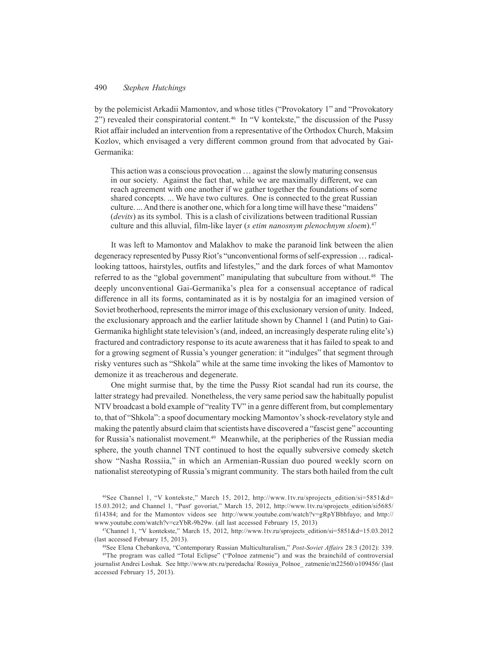by the polemicist Arkadii Mamontov, and whose titles ("Provokatory 1" and "Provokatory 2") revealed their conspiratorial content.46 In "V kontekste," the discussion of the Pussy Riot affair included an intervention from a representative of the Orthodox Church, Maksim Kozlov, which envisaged a very different common ground from that advocated by Gai-Germanika:

This action was a conscious provocation … against the slowly maturing consensus in our society. Against the fact that, while we are maximally different, we can reach agreement with one another if we gather together the foundations of some shared concepts. ... We have two cultures. One is connected to the great Russian culture. ... And there is another one, which for a long time will have these "maidens" (*devits*) as its symbol. This is a clash of civilizations between traditional Russian culture and this alluvial, film-like layer (*s etim nanosnym plenochnym sloem*).47

It was left to Mamontov and Malakhov to make the paranoid link between the alien degeneracy represented by Pussy Riot's "unconventional forms of self-expression … radicallooking tattoos, hairstyles, outfits and lifestyles," and the dark forces of what Mamontov referred to as the "global government" manipulating that subculture from without.48 The deeply unconventional Gai-Germanika's plea for a consensual acceptance of radical difference in all its forms, contaminated as it is by nostalgia for an imagined version of Soviet brotherhood, represents the mirror image of this exclusionary version of unity. Indeed, the exclusionary approach and the earlier latitude shown by Channel 1 (and Putin) to Gai-Germanika highlight state television's (and, indeed, an increasingly desperate ruling elite's) fractured and contradictory response to its acute awareness that it has failed to speak to and for a growing segment of Russia's younger generation: it "indulges" that segment through risky ventures such as "Shkola" while at the same time invoking the likes of Mamontov to demonize it as treacherous and degenerate.

One might surmise that, by the time the Pussy Riot scandal had run its course, the latter strategy had prevailed. Nonetheless, the very same period saw the habitually populist NTV broadcast a bold example of "reality TV" in a genre different from, but complementary to, that of "Shkola": a spoof documentary mocking Mamontov's shock-revelatory style and making the patently absurd claim that scientists have discovered a "fascist gene" accounting for Russia's nationalist movement.<sup>49</sup> Meanwhile, at the peripheries of the Russian media sphere, the youth channel TNT continued to host the equally subversive comedy sketch show "Nasha Rossiia," in which an Armenian-Russian duo poured weekly scorn on nationalist stereotyping of Russia's migrant community. The stars both hailed from the cult

<sup>46</sup>See Channel 1, "V kontekste," March 15, 2012, http://www.1tv.ru/sprojects\_edition/si=5851&d= 15.03.2012; and Channel 1, "Pust' govoriat," March 15, 2012, http://www.1tv.ru/sprojects\_edition/si5685/ fi14384; and for the Mamontov videos see http://www.youtube.com/watch?v=gRpYBbhfuyo; and http:// www.youtube.com/watch?v=czYbR-9b29w. (all last accessed February 15, 2013)

<sup>47</sup>Channel 1, "V kontekste," March 15, 2012, http://www.1tv.ru/sprojects\_edition/si=5851&d=15.03.2012 (last accessed February 15, 2013).

<sup>48</sup>See Elena Chebankova, "Contemporary Russian Multiculturalism," *Post-Soviet Affairs* 28:3 (2012): 339.

<sup>49</sup>The program was called "Total Eclipse" ("Polnoe zatmenie") and was the brainchild of controversial journalist Andrei Loshak. See http://www.ntv.ru/peredacha/ Rossiya\_Polnoe\_ zatmenie/m22560/o109456/ (last accessed February 15, 2013).